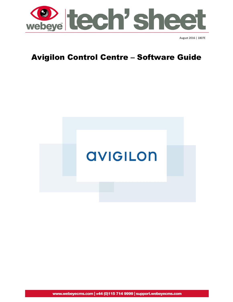

# Avigilon Control Centre – Software Guide



www.webeyecms.com | +44 (0)115 714 9999 | support.webeyecms.com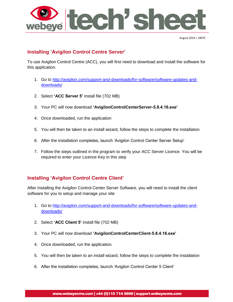

## **Installing 'Avigilon Control Centre Server'**

To use Avigilon Control Centre (ACC), you will first need to download and install the software for this application.

- 1. Go to [http://avigilon.com/support-and-downloads/for-software/software-updates-and](http://avigilon.com/support-and-downloads/for-software/software-updates-and-downloads/)[downloads/](http://avigilon.com/support-and-downloads/for-software/software-updates-and-downloads/)
- 2. Select **'ACC Server 5'** install file (702 MB)
- 3. Your PC will now download **'AvigilonControlCenterServer-5.8.4.16.exe'**
- 4. Once downloaded, run the application
- 5. You will then be taken to an install wizard, follow the steps to complete the installation
- 6. After the installation completes, launch 'Avigilon Control Center Server Setup'
- 7. Follow the steps outlined in the program to verify your ACC Server Licence. You will be required to enter your Licence Key in this step

#### **Installing 'Avigilon Control Centre Client'**

After Installing the Avigilon Control Center Server Software, you will need to install the client software for you to setup and manage your site

- 1. Go to [http://avigilon.com/support-and-downloads/for-software/software-updates-and](http://avigilon.com/support-and-downloads/for-software/software-updates-and-downloads/)[downloads/](http://avigilon.com/support-and-downloads/for-software/software-updates-and-downloads/)
- 2. Select **'ACC Client 5'** install file (702 MB)
- 3. Your PC will now download **'AvigilonControlCenterClient-5.8.4.16.exe'**
- 4. Once downloaded, run the application.
- 5. You will then be taken to an install wizard, follow the steps to complete the installation
- 6. After the installation completes, launch 'Avigilon Control Center 5 Client'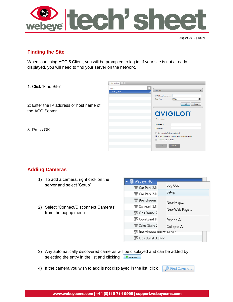

## **Finding the Site**

When launching ACC 5 Client, you will be prompted to log in. If your site is not already displayed, you will need to find your server on the network.

1: Click 'Find Site'

2: Enter the IP address or host name of the ACC Server

3: Press OK



## **Adding Cameras**

- 1) To add a camera, right click on the server and select 'Setup'
- 2) Select 'Connect/Disconnect Cameras' from the popup menu

| Webeye HQ                            |              |  |
|--------------------------------------|--------------|--|
| $\blacksquare$ Car Park 2.0          | Log Out      |  |
| $\blacksquare$ Car Park 2.0          | Setup        |  |
| $\blacksquare$ Boardroom             | New Map      |  |
| $\blacksquare$ Stainwell 1.3         |              |  |
| $\mathbb{R}^2$ Ops Dome $\mathbb{R}$ | New Web Page |  |
| Sourtyard 8                          | Expand All   |  |
| Sales Stairs J                       | Collapse All |  |
| Boardroom Bullet 3.0IVIP             |              |  |
| Ops Bullet 3.0MP                     |              |  |

- 3) Any automatically discovered cameras will be displayed and can be added by selecting the entry in the list and clicking  $\Box$   $\blacklozenge$  Connect...
- 4) If the camera you wish to add is not displayed in the list, click

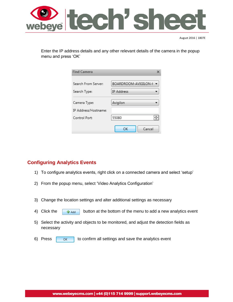

Enter the IP address details and any other relevant details of the camera in the popup menu and press 'OK'

| <b>Find Camera</b>                  |                                           |
|-------------------------------------|-------------------------------------------|
| Search From Server:<br>Search Type: | BOARDROOM-AVIGILON-H<br><b>IP Address</b> |
| Camera Type:                        | Avigilon                                  |
| IP Address/Hostname:                |                                           |
| Control Port:                       | 55080                                     |
|                                     | Cancel<br>ОК                              |

## **Configuring Analytics Events**

- 1) To configure analytics events, right click on a connected camera and select 'setup'
- 2) From the popup menu, select 'Video Analytics Configuration'
- 3) Change the location settings and alter additional settings as necessary
- 4) Click the  $\begin{array}{|c|c|c|c|c|}\n\hline\n\text{4} & \text{button at the bottom of the menu to add a new analytics event}\n\end{array}$
- 5) Select the activity and objects to be monitored, and adjust the detection fields as necessary
- 6) Press to confirm all settings and save the analytics event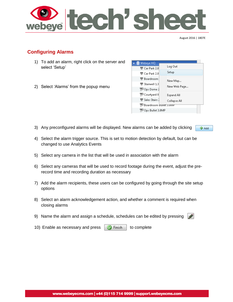

## **Configuring Alarms**

- 1) To add an alarm, right click on the server and select 'Setup'
- 2) Select 'Alarms' from the popup menu

| Webeye HQ                            |              |
|--------------------------------------|--------------|
| $\overline{\mathbf{v}}$ Car Park 2.0 | Log Out      |
| $\blacksquare$ Car Park 2.0          | Setup        |
| $\blacksquare$ Boardroom             |              |
| $\blacksquare$ Stainwell 1.3         | New Map      |
| $\mathbb{R}^2$ Ops Dome $\mathbb{R}$ | New Web Page |
| $\mathbb{R}^2$ Courtyard 8           | Expand All   |
| $\blacksquare$ Sales Stairs $1$      | Collapse All |
| Boardroom Bullet 3.0MP               |              |
| Ops Bullet 3.0MP                     |              |
|                                      |              |

- 3) Any preconfigured alarms will be displayed. New alarms can be added by clicking **Add**
- 4) Select the alarm trigger source. This is set to motion detection by default, but can be changed to use Analytics Events
- 5) Select any camera in the list that will be used in association with the alarm
- 6) Select any cameras that will be used to record footage during the event, adjust the prerecord time and recording duration as necessary
- 7) Add the alarm recipients, these users can be configured by going through the site setup options
- 8) Select an alarm acknowledgement action, and whether a comment is required when closing alarms
- 9) Name the alarm and assign a schedule, schedules can be edited by pressing
- 10) Enable as necessary and press  $\Box$  Finish  $\Box$  to complete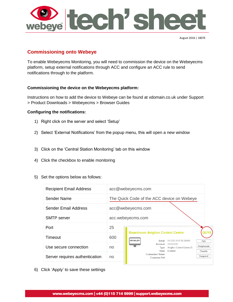

## **Commissioning onto Webeye**

To enable Webeyecms Monitoring, you will need to commission the device on the Webeyecms platform, setup external notifications through ACC and configure an ACC rule to send notifications through to the platform.

#### **Commissioning the device on the Webeyecms platform:**

Instructions on how to add the device to Webeye can be found at vdomain.co.uk under Support > Product Downloads > Webeyecms > Browser Guides

#### **Configuring the notifications:**

- 1) Right click on the server and select 'Setup'
- 2) Select 'External Notifications' from the popup menu, this will open a new window
- 3) Click on the 'Central Station Monitoring' tab on this window
- 4) Click the checkbox to enable monitoring
- 5) Set the options below as follows:

| <b>Recipient Email Address</b> |                                                       | acc@webeyecms.com                                                                                                                                                                             |
|--------------------------------|-------------------------------------------------------|-----------------------------------------------------------------------------------------------------------------------------------------------------------------------------------------------|
| Sender Name                    | The Quick Code of the ACC device on Webeye            |                                                                                                                                                                                               |
| <b>Sender Email Address</b>    |                                                       | acc@webeyecms.com                                                                                                                                                                             |
| <b>SMTP</b> server             |                                                       | acc.webeyecms.com                                                                                                                                                                             |
| Port                           | 25                                                    | <b>Boardroom Avigilon Control Centre</b>                                                                                                                                                      |
| Timeout                        | 600<br><b>avigiLon</b><br>Serial: XX.252.XXX.56:38880 | Edit                                                                                                                                                                                          |
| Use secure connection          | no                                                    | Account:<br>2XXXXX6<br><b>Peripherals</b><br>Avigilon Control Centre (S<br>Type:<br>Fnabled<br>State:<br><b>Disable</b><br><b>Connection Token:</b><br><b>Suspend</b><br><b>Customer Ref:</b> |
| Server requires authentication | no                                                    |                                                                                                                                                                                               |

6) Click 'Apply' to save these settings